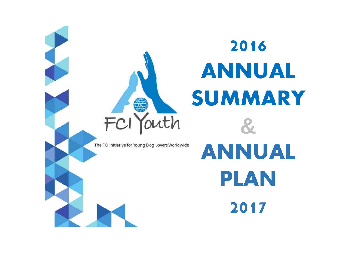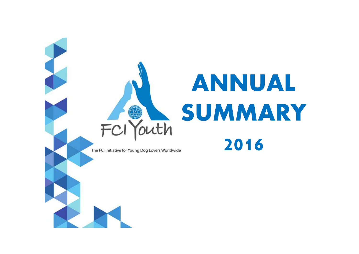# **ANNUAL SUMMARY**FCI Youth **2016**

The FCI initiative for Young Dog Lovers Worldwide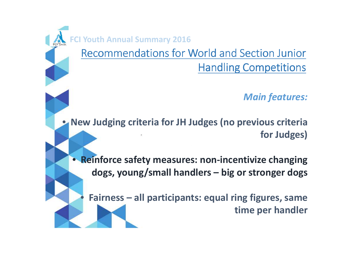**Youth Annual Summary 2016** 

•

Recommendations for World and Section Junior Handling Competitions

*Main features:*

• **New Judging criteria for JH Judges (no previous criteria for Judges)**

• **Reinforce safety measures: non-incentivize changingdogs, young/small handlers – big or stronger dogs**

 **Fairness – all participants: equal ring figures, same time per handler**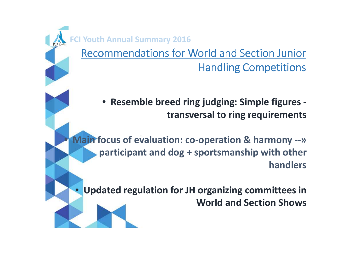**Youth Annual Summary 2016** 

•

 $\bullet$ 

Recommendations for World and Section Junior Handling Competitions

• **Resemble breed ring judging: Simple figures transversal to ring requirements** 

 **Main focus of evaluation: co-operation & harmony --» participant and dog + sportsmanship with other handlers** 

 **Updated regulation for JH organizing committees in World and Section Shows**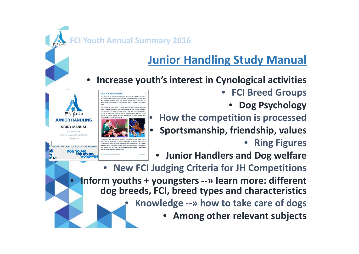**FCI Youth Annual Summary <sup>2016</sup>**

**What is JUNIOR HANDLING?** The aim of Junior Handling competitions is to increase th n Cynological activities, by promoting and developing the co-operation and contact between does and young people, and above all, b lives the opportunity for youths and y ent dog breeds, as well as their va ics. The sport encourages young dog lovers to gain knowledg

nows and in shows organized by Organizations, granting youths the opportunity to be assessed by a Junio dling Judge and where all participants should be equally evaluated o

the basis of the official FCI Recommendations for National, World and

 $\bullet$ 

**JUNIOR HANDLING STUDY MANUAL** First Edition 2016 Originally produced by the FCI Youth Copyright FCI

**EDERATION CYNOLOGIQUE INTERNATIONALE** 

**YOUNG<br>DOG LOVERS** 

•

# **Junior Handling Study Manual**

- • **Increase youth's interest in Cynological activities**
	- $\bullet$  **FCI Breed Groups**
		- •**Dog Psychology**
	- **How the competition is processed**
	- **•** Sportsmanship, friendship, values •
		- •**Ring Figures**
	- •**Junior Handlers and Dog welfare**
- **New FCI Judging Criteria for JH Competitions** • **Inform youths + youngsters --» learn more: different dog breeds, FCI, breed types and characteristics**• **Knowledge --» how to take care of dogs**
	- •**Among other relevant subjects**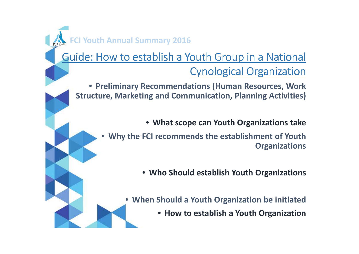**FCI Youth Annual Summary <sup>2016</sup>**

## Guide: How to establish a Youth Group in a National Cynological Organization

• **Preliminary Recommendations (Human Resources, Work Structure, Marketing and Communication, Planning Activities)**

• **What scope can Youth Organizations take** 

• **Why the FCI recommends the establishment of Youth Organizations** 

• **Who Should establish Youth Organizations** 

• **When Should a Youth Organization be initiated** 

• **How to establish a Youth Organization**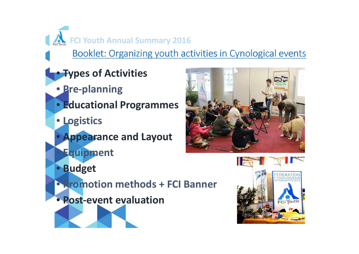$F_{\text{Cylott}}$  FCI Youth Annual Summary 2016

Booklet: Organizing youth activities in Cynological events

- **Types of Activities**
	- **Pre-planning**
	- **Educational Programmes**
	- **Logistics**

 $\bullet$ 

- **Appearance and Layout**
- **Equipment**



- $\bullet$ **Budget**
- **Promotion methods + FCI Banner**
- **Post-event evaluation**

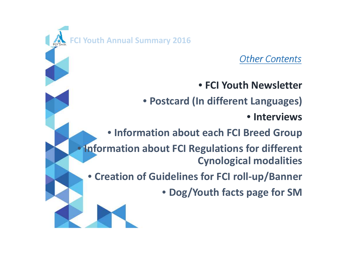# **FCI Youth Annual Summary <sup>2016</sup>**

*Other Contents*

• **FCI Youth Newsletter**

• **Postcard (In different Languages)**

• **Interviews**

• **Information about each FCI Breed Group**

• **Information about FCI Regulations for different Cynological modalities**

• **Creation of Guidelines for FCI roll-up/Banner**

• **Dog/Youth facts page for SM**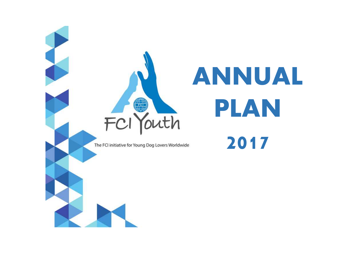

# **ANNUAL PLAN 2017**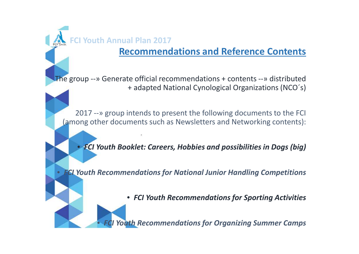•

•

#### **Recommendations and Reference Contents**

The group --» Generate official recommendations + contents --» distributed + adapted National Cynological Organizations (NCO´s)

2017 --» group intends to present the following documents to the FCI (among other documents such as Newsletters and Networking contents):

• *FCI Youth Booklet: Careers, Hobbies and possibilities in Dogs (big)*

*FCI Youth Recommendations for National Junior Handling Competitions*

• *FCI Youth Recommendations for Sporting Activities*

*<u>Youth Recommendations for Organizing Summer Camps</u>*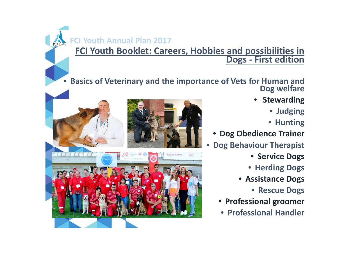# **FCI Youth Booklet: Careers, Hobbies and possibilities in Dogs - First edition**

•**Basics of Veterinary and the importance of Vets for Human and Posture 1.1 All Connect Ave Schools Connect Ave** 

**GAZETA** de SUD §

- **Stewarding**
	- **Judging**
	- **Hunting**
- **Dog Obedience Trainer**
- • **Dog Behaviour Therapist**
	- **Service Dogs**
	- **Herding Dogs**
	- **Assistance Dogs**
		- **Rescue Dogs**
	- •**Professional groomer**
	- **Professional Handler**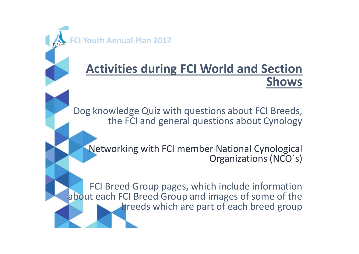# **Activities during FCI World and Section Shows**

Dog knowledge Quiz with questions about FCI Breeds, the FCI and general questions about Cynology

Networking with FCI member National Cynological Organizations (NCO´s)

FCI Breed Group pages, which include information about each FCI Breed Group and images of some of the breeds which are part of each breed group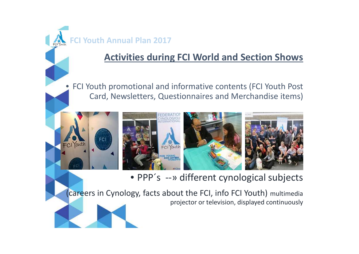•

## **Activities during FCI World and Section Shows**

 FCI Youth promotional and informative contents (FCI Youth Post Card, Newsletters, Questionnaires and Merchandise items)



• PPP´s --» different cynological subjects

(careers in Cynology, facts about the FCI, info FCI Youth) multimedia projector or television, displayed continuously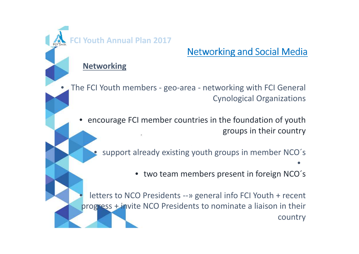### **Networking and Social Media**

#### **Networking**

•

 The FCI Youth members - geo-area - networking with FCI General Cynological Organizations

• encourage FCI member countries in the foundation of youth groups in their country

• support already existing youth groups in member NCO´s•

•two team members present in foreign NCO´s

• letters to NCO Presidents --» general info FCI Youth + recent progress + invite NCO Presidents to nominate a liaison in their country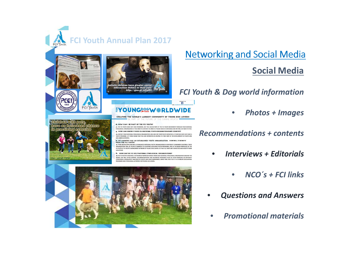

FCI Youth

**Grance** 

Children with pole

https://goo.gl/7TZF6t



#### **EYOUNGROOM ARLDWIDE**

CONTACT USE

CREATING THE WORLD'S LARGEST COMMUNITY OF YOUNG DOG LOVERS!

Q: HOW CAN I BE PART OF THE FCI YOUTH?

.<br>A: THE FCI YOUTH DOES NOT HAVE MEMBERS, BUT YOU CAN BE PART OF THE FCI YOUTH MOVEMENT THROUGH YOUR NATION/<br>CYNOLOGICAL ORGANIZATION. IF YOU WISH TO CONTACT US DIRECTLY, PLEASE SEND US A MESSAGE AND WE WILL GET BACK TO YO Q HOW CAN I KNOW IF THERE IS A NATIONAL YOUTH ORGANIATION IN MY COUNTRY?

A: CONTACT YOUR NATIONAL CYNOLOGICAL ORGANIZATION AND ASK FOR THEIR YOUTH INITIATIVES. IF YOUR NCO DOES NOT HAVE A DOG AIMED ACTIVITIES.

Q: MY COUNTRY HAS AN ESTABLISHED YOUTH ORGANISATION. HOW WILL IT BENEFIER

.<br>A ETHERE ARE MULTIPLE AND WELL ESTABLISHED NATIOONAL YOUTH ORGANIZATIONS IN DIFFERENT FCI MEMBER COUNTRIES. THESE<br>ORGANIZATIONS WILL BE HELPFUL EXAMPLES TO COUNTIRIS DEVELWING YOUTH PROGRAMS, ONE OF THE MAIN PURPOUSES OF EACHOTHER

#### **Q: HOW CAN THE FCI HELP NATIONAL CYNOLOGICAL ORGANIZATIONS**

At THE FOYOUTH IS CREATING A NETWORK OF REPRESENTATIVES FROM EACH NATIONAL CYNOLOGICAL ORGANIZATION AROUND THE<br>WORLD, WE WILL OFFER SUPPORT, RECOMMENDATIONS AND REFERENCE MATERIALS SUCH AS STUDY MANUALS ON DIFFERENT<br>CYNOLO ROGRAMS AND CYNOLOGICAL ACTIVITIES FOR YOUNG LOG LOVERS



**Networking and Social Media** 

#### **Social Media**

#### *FCI Youth & Dog world information*

•*Photos + Images* 

#### $Re^{\text{HOW CANI KWOWWIF THERE ISANAXI ONM. YOUTH ORRANMATONHI NWR} \text{COLWIRYK} }$ <br>A:COMMET VOUR NORMAL COOK OGALIATOR DES ENTREMATION NORMAL EN DERIVATARIAN RECOMMENDANT DE **RECOMMENDANT DE LA CONTENTS**

- $\bullet$  *Interviews + Editorials* 
	- •*NCO´s + FCI links*
- •*Questions and Answers*
- •*Promotional materials*